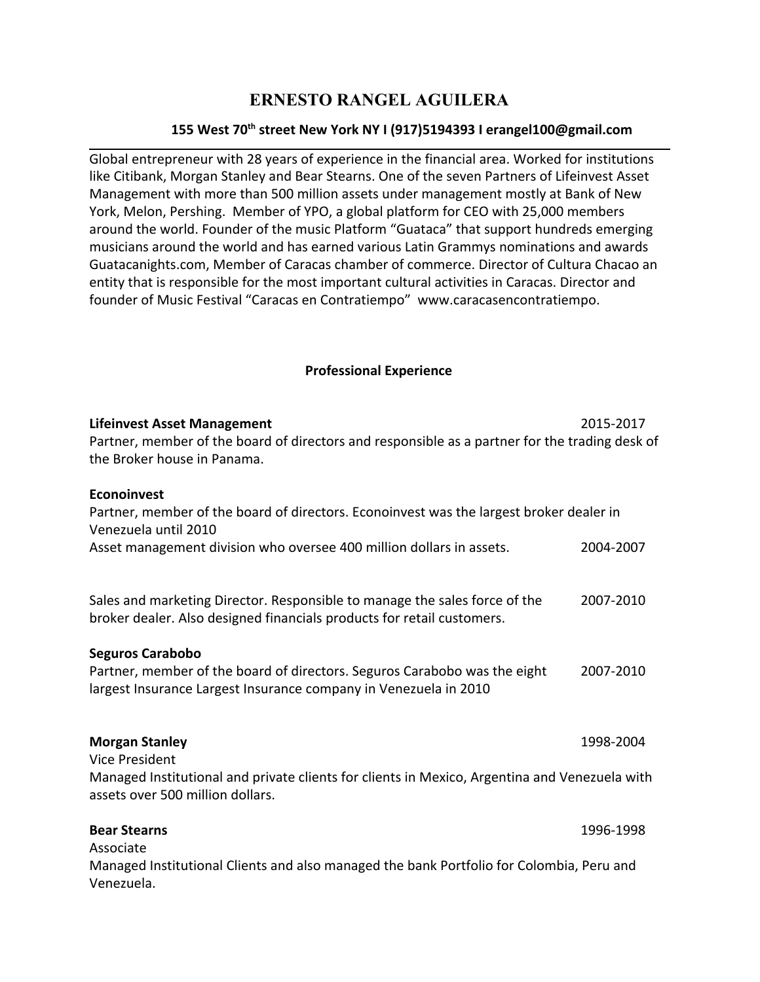## **ERNESTO RANGEL AGUILERA**

## **155 West 70 th street New York NY I (917)5194393 I erangel100@gmail.com**

Global entrepreneur with 28 years of experience in the financial area. Worked for institutions like Citibank, Morgan Stanley and Bear Stearns. One of the seven Partners of Lifeinvest Asset Management with more than 500 million assets under management mostly at Bank of New York, Melon, Pershing. Member of YPO, a global platform for CEO with 25,000 members around the world. Founder of the music Platform "Guataca" that support hundreds emerging musicians around the world and has earned various Latin Grammys nominations and awards Guatacanights.com, Member of Caracas chamber of commerce. Director of Cultura Chacao an entity that is responsible for the most important cultural activities in Caracas. Director and founder of Music Festival "Caracas en Contratiempo" www.caracasencontratiempo.

## **Professional Experience**

| <b>Lifeinvest Asset Management</b>                                                                                                                                       | 2015-2017 |
|--------------------------------------------------------------------------------------------------------------------------------------------------------------------------|-----------|
| Partner, member of the board of directors and responsible as a partner for the trading desk of<br>the Broker house in Panama.                                            |           |
| <b>Econoinvest</b><br>Partner, member of the board of directors. Econoinvest was the largest broker dealer in<br>Venezuela until 2010                                    |           |
| Asset management division who oversee 400 million dollars in assets.                                                                                                     | 2004-2007 |
| Sales and marketing Director. Responsible to manage the sales force of the<br>broker dealer. Also designed financials products for retail customers.                     | 2007-2010 |
| <b>Seguros Carabobo</b><br>Partner, member of the board of directors. Seguros Carabobo was the eight<br>largest Insurance Largest Insurance company in Venezuela in 2010 | 2007-2010 |
| <b>Morgan Stanley</b><br><b>Vice President</b>                                                                                                                           | 1998-2004 |
| Managed Institutional and private clients for clients in Mexico, Argentina and Venezuela with<br>assets over 500 million dollars.                                        |           |
| <b>Bear Stearns</b><br>Associate                                                                                                                                         | 1996-1998 |
| Managed Institutional Clients and also managed the bank Portfolio for Colombia, Peru and<br>Venezuela.                                                                   |           |